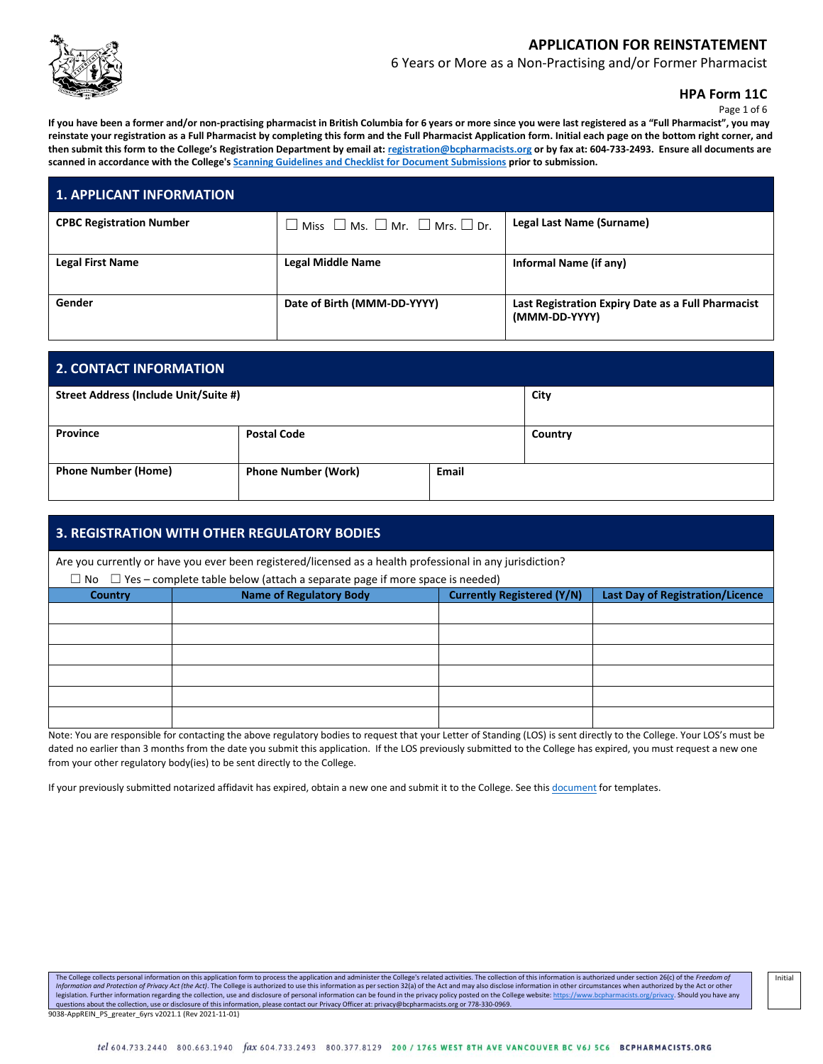

6 Years or More as a Non-Practising and/or Former Pharmacist

**HPA Form 11C**

Page 1 of 6

**If you have been a former and/or non-practising pharmacist in British Columbia for 6 years or more since you were last registered as a "Full Pharmacist", you may reinstate your registration as a Full Pharmacist by completing this form and the Full Pharmacist Application form. Initial each page on the bottom right corner, and then submit this form to the College's Registration Department by email at: [registration@bcpharmacists.org](mailto:registration@bcpharmacists.org) or by fax at: 604-733-2493. Ensure all documents are scanned in accordance with the College's [Scanning Guidelines and Checklist for Document Submissions](https://www.bcpharmacists.org/library/3_Registration_Licensure/5276-Scanning_Guidelines_Checklist_Document_Submissions_REG.pdf) prior to submission.**

| <b>1. APPLICANT INFORMATION</b> |                                                                         |                                                                     |
|---------------------------------|-------------------------------------------------------------------------|---------------------------------------------------------------------|
| <b>CPBC Registration Number</b> | $\square$ Miss $\square$ Ms. $\square$ Mr. $\square$ Mrs. $\square$ Dr. | Legal Last Name (Surname)                                           |
| <b>Legal First Name</b>         | <b>Legal Middle Name</b>                                                | Informal Name (if any)                                              |
| Gender                          | Date of Birth (MMM-DD-YYYY)                                             | Last Registration Expiry Date as a Full Pharmacist<br>(MMM-DD-YYYY) |

| <b>2. CONTACT INFORMATION</b>         |                            |              |         |
|---------------------------------------|----------------------------|--------------|---------|
| Street Address (Include Unit/Suite #) |                            |              | City    |
| Province                              | <b>Postal Code</b>         |              | Country |
| <b>Phone Number (Home)</b>            | <b>Phone Number (Work)</b> | <b>Email</b> |         |

| <b>3. REGISTRATION WITH OTHER REGULATORY BODIES</b>                                                       |                                                                                              |                                   |                                         |  |
|-----------------------------------------------------------------------------------------------------------|----------------------------------------------------------------------------------------------|-----------------------------------|-----------------------------------------|--|
| Are you currently or have you ever been registered/licensed as a health professional in any jurisdiction? |                                                                                              |                                   |                                         |  |
|                                                                                                           | $\Box$ No $\Box$ Yes – complete table below (attach a separate page if more space is needed) |                                   |                                         |  |
| Country                                                                                                   | <b>Name of Regulatory Body</b>                                                               | <b>Currently Registered (Y/N)</b> | <b>Last Day of Registration/Licence</b> |  |
|                                                                                                           |                                                                                              |                                   |                                         |  |
|                                                                                                           |                                                                                              |                                   |                                         |  |
|                                                                                                           |                                                                                              |                                   |                                         |  |
|                                                                                                           |                                                                                              |                                   |                                         |  |
|                                                                                                           |                                                                                              |                                   |                                         |  |
|                                                                                                           |                                                                                              |                                   |                                         |  |

Note: You are responsible for contacting the above regulatory bodies to request that your Letter of Standing (LOS) is sent directly to the College. Your LOS's must be dated no earlier than 3 months from the date you submit this application. If the LOS previously submitted to the College has expired, you must request a new one from your other regulatory body(ies) to be sent directly to the College.

If your previously submitted notarized affidavit has expired, obtain a new one and submit it to the College. See this [document](http://library.bcpharmacists.org/3_Registration_Licensure/5147-Notarized_Affidavit_Samples.pdf) for templates.

The College collects personal information on this application form to process the application and administer the College's related activities. The collection of this information is authorized under section 26(c) of the Fre Information and Protection of Privacy Act (the Act). The College is authorized to use this information as per section 32(a) of the Act and may also disclose information in other circumstances when authorized by the Act or legislation. Further information regarding the collection, use and disclosure of personal information can be found in the privacy policy posted on the College website: <u>https://www.bcpharmacists.org/privacy</u>. Should you ha 9038-AppREIN\_PS\_greater\_6yrs v2021.1 (Rev 2021-11-01)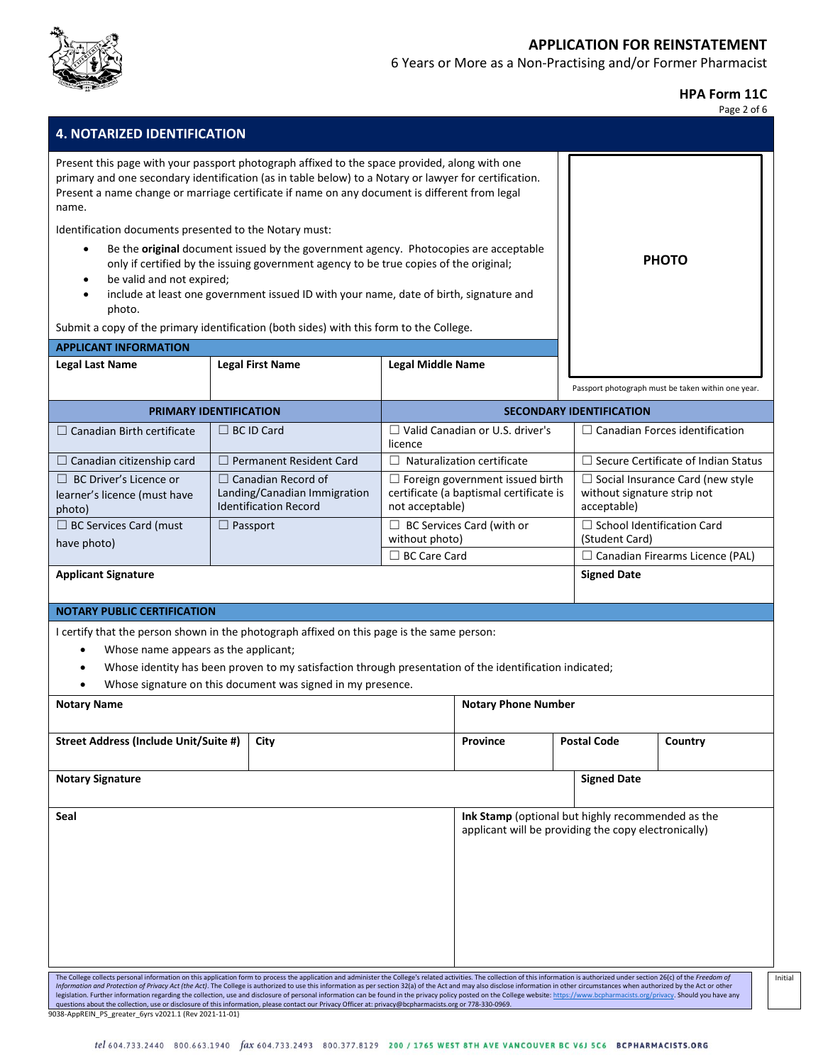

6 Years or More as a Non-Practising and/or Former Pharmacist

**HPA Form 11C**

|                                                                                                                                                                                                 |                                                                                                                                                                                                                                                                                                                                                                                                                                                                                                                                                                                                                                                                                                                                                                                                                                                               |                          |                                                                                                           |                                                     | Page 2 of 6                                        |
|-------------------------------------------------------------------------------------------------------------------------------------------------------------------------------------------------|---------------------------------------------------------------------------------------------------------------------------------------------------------------------------------------------------------------------------------------------------------------------------------------------------------------------------------------------------------------------------------------------------------------------------------------------------------------------------------------------------------------------------------------------------------------------------------------------------------------------------------------------------------------------------------------------------------------------------------------------------------------------------------------------------------------------------------------------------------------|--------------------------|-----------------------------------------------------------------------------------------------------------|-----------------------------------------------------|----------------------------------------------------|
| <b>4. NOTARIZED IDENTIFICATION</b>                                                                                                                                                              |                                                                                                                                                                                                                                                                                                                                                                                                                                                                                                                                                                                                                                                                                                                                                                                                                                                               |                          |                                                                                                           |                                                     |                                                    |
| name.<br>Identification documents presented to the Notary must:<br>٠<br>be valid and not expired;<br>$\bullet$<br>$\bullet$<br>photo.<br><b>APPLICANT INFORMATION</b><br><b>Legal Last Name</b> | Present this page with your passport photograph affixed to the space provided, along with one<br>primary and one secondary identification (as in table below) to a Notary or lawyer for certification.<br>Present a name change or marriage certificate if name on any document is different from legal<br>Be the original document issued by the government agency. Photocopies are acceptable<br>only if certified by the issuing government agency to be true copies of the original;<br>include at least one government issued ID with your name, date of birth, signature and<br>Submit a copy of the primary identification (both sides) with this form to the College.<br><b>Legal First Name</b>                                                                                                                                                      | <b>Legal Middle Name</b> |                                                                                                           |                                                     | <b>PHOTO</b>                                       |
|                                                                                                                                                                                                 |                                                                                                                                                                                                                                                                                                                                                                                                                                                                                                                                                                                                                                                                                                                                                                                                                                                               |                          |                                                                                                           |                                                     |                                                    |
|                                                                                                                                                                                                 |                                                                                                                                                                                                                                                                                                                                                                                                                                                                                                                                                                                                                                                                                                                                                                                                                                                               |                          |                                                                                                           |                                                     | Passport photograph must be taken within one year. |
|                                                                                                                                                                                                 | PRIMARY IDENTIFICATION                                                                                                                                                                                                                                                                                                                                                                                                                                                                                                                                                                                                                                                                                                                                                                                                                                        |                          |                                                                                                           | <b>SECONDARY IDENTIFICATION</b>                     |                                                    |
| $\Box$ Canadian Birth certificate                                                                                                                                                               | $\Box$ BC ID Card                                                                                                                                                                                                                                                                                                                                                                                                                                                                                                                                                                                                                                                                                                                                                                                                                                             | licence                  | $\Box$ Valid Canadian or U.S. driver's                                                                    |                                                     | $\Box$ Canadian Forces identification              |
| $\Box$ Canadian citizenship card                                                                                                                                                                | $\Box$ Permanent Resident Card                                                                                                                                                                                                                                                                                                                                                                                                                                                                                                                                                                                                                                                                                                                                                                                                                                |                          | $\Box$ Naturalization certificate                                                                         |                                                     | $\Box$ Secure Certificate of Indian Status         |
| $\Box$ BC Driver's Licence or<br>learner's licence (must have<br>photo)                                                                                                                         | $\Box$ Canadian Record of<br>Landing/Canadian Immigration<br><b>Identification Record</b>                                                                                                                                                                                                                                                                                                                                                                                                                                                                                                                                                                                                                                                                                                                                                                     | not acceptable)          | $\Box$ Foreign government issued birth<br>certificate (a baptismal certificate is                         | without signature strip not<br>acceptable)          | $\Box$ Social Insurance Card (new style            |
| □ BC Services Card (must<br>have photo)                                                                                                                                                         | $\Box$ Passport                                                                                                                                                                                                                                                                                                                                                                                                                                                                                                                                                                                                                                                                                                                                                                                                                                               | without photo)           | $\Box$ BC Services Card (with or                                                                          | $\Box$ School Identification Card<br>(Student Card) |                                                    |
|                                                                                                                                                                                                 |                                                                                                                                                                                                                                                                                                                                                                                                                                                                                                                                                                                                                                                                                                                                                                                                                                                               | $\Box$ BC Care Card      |                                                                                                           |                                                     | $\Box$ Canadian Firearms Licence (PAL)             |
| <b>Applicant Signature</b>                                                                                                                                                                      |                                                                                                                                                                                                                                                                                                                                                                                                                                                                                                                                                                                                                                                                                                                                                                                                                                                               |                          |                                                                                                           | <b>Signed Date</b>                                  |                                                    |
| <b>NOTARY PUBLIC CERTIFICATION</b>                                                                                                                                                              |                                                                                                                                                                                                                                                                                                                                                                                                                                                                                                                                                                                                                                                                                                                                                                                                                                                               |                          |                                                                                                           |                                                     |                                                    |
| Whose name appears as the applicant;<br>$\bullet$                                                                                                                                               | I certify that the person shown in the photograph affixed on this page is the same person:<br>Whose identity has been proven to my satisfaction through presentation of the identification indicated;<br>Whose signature on this document was signed in my presence.                                                                                                                                                                                                                                                                                                                                                                                                                                                                                                                                                                                          |                          |                                                                                                           |                                                     |                                                    |
| <b>Notary Name</b>                                                                                                                                                                              |                                                                                                                                                                                                                                                                                                                                                                                                                                                                                                                                                                                                                                                                                                                                                                                                                                                               |                          | <b>Notary Phone Number</b>                                                                                |                                                     |                                                    |
| Street Address (Include Unit/Suite #)                                                                                                                                                           | City                                                                                                                                                                                                                                                                                                                                                                                                                                                                                                                                                                                                                                                                                                                                                                                                                                                          |                          | <b>Province</b>                                                                                           | <b>Postal Code</b>                                  | Country                                            |
| <b>Notary Signature</b>                                                                                                                                                                         |                                                                                                                                                                                                                                                                                                                                                                                                                                                                                                                                                                                                                                                                                                                                                                                                                                                               |                          |                                                                                                           | <b>Signed Date</b>                                  |                                                    |
| Seal                                                                                                                                                                                            |                                                                                                                                                                                                                                                                                                                                                                                                                                                                                                                                                                                                                                                                                                                                                                                                                                                               |                          | Ink Stamp (optional but highly recommended as the<br>applicant will be providing the copy electronically) |                                                     |                                                    |
| 9038-AppREIN PS greater 6yrs v2021.1 (Rev 2021-11-01)                                                                                                                                           | The College collects personal information on this application form to process the application and administer the College's related activities. The collection of this information is authorized under section 26(c) of the Fre<br>Information and Protection of Privacy Act (the Act). The College is authorized to use this information as per section 32(a) of the Act and may also disclose information in other circumstances when authorized by the Act or<br>legislation. Further information regarding the collection, use and disclosure of personal information can be found in the privacy policy posted on the College website: https://www.bcpharmacists.org/privacy. Should you have<br>questions about the collection, use or disclosure of this information, please contact our Privacy Officer at: privacy@bcpharmacists.org or 778-330-0969. |                          |                                                                                                           |                                                     |                                                    |

Initial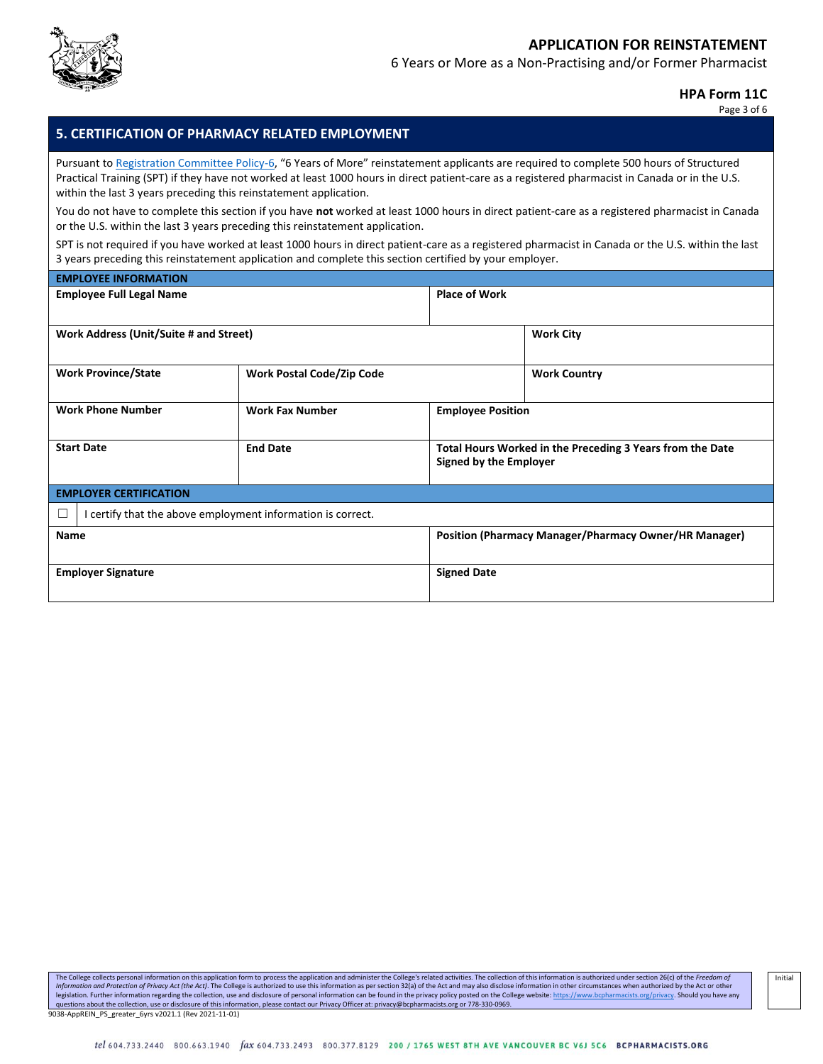

6 Years or More as a Non-Practising and/or Former Pharmacist

#### **HPA Form 11C**

Page 3 of 6

## **5. CERTIFICATION OF PHARMACY RELATED EMPLOYMENT**

Pursuant t[o Registration Committee Policy-6](https://library.bcpharmacists.org/3_Registration_Licensure/5098-Reg_Committee_Policy_RCP.pdf#page=7), "6 Years of More" reinstatement applicants are required to complete 500 hours of Structured Practical Training (SPT) if they have not worked at least 1000 hours in direct patient-care as a registered pharmacist in Canada or in the U.S. within the last 3 years preceding this reinstatement application.

You do not have to complete this section if you have **not** worked at least 1000 hours in direct patient-care as a registered pharmacist in Canada or the U.S. within the last 3 years preceding this reinstatement application.

SPT is not required if you have worked at least 1000 hours in direct patient-care as a registered pharmacist in Canada or the U.S. within the last 3 years preceding this reinstatement application and complete this section certified by your employer.

| <b>EMPLOYEE INFORMATION</b>                                      |                                  |                               |                                                           |
|------------------------------------------------------------------|----------------------------------|-------------------------------|-----------------------------------------------------------|
| <b>Employee Full Legal Name</b>                                  |                                  | <b>Place of Work</b>          |                                                           |
|                                                                  |                                  |                               |                                                           |
| Work Address (Unit/Suite # and Street)                           |                                  |                               | <b>Work City</b>                                          |
|                                                                  |                                  |                               |                                                           |
| <b>Work Province/State</b>                                       | <b>Work Postal Code/Zip Code</b> |                               | <b>Work Country</b>                                       |
|                                                                  |                                  |                               |                                                           |
| <b>Work Phone Number</b>                                         | <b>Work Fax Number</b>           | <b>Employee Position</b>      |                                                           |
|                                                                  |                                  |                               |                                                           |
| <b>Start Date</b>                                                | <b>End Date</b>                  | <b>Signed by the Employer</b> | Total Hours Worked in the Preceding 3 Years from the Date |
|                                                                  |                                  |                               |                                                           |
| <b>EMPLOYER CERTIFICATION</b>                                    |                                  |                               |                                                           |
| I certify that the above employment information is correct.<br>L |                                  |                               |                                                           |
| <b>Name</b>                                                      |                                  |                               | Position (Pharmacy Manager/Pharmacy Owner/HR Manager)     |
|                                                                  |                                  |                               |                                                           |
| <b>Employer Signature</b>                                        |                                  | <b>Signed Date</b>            |                                                           |
|                                                                  |                                  |                               |                                                           |

The College collects personal information on this application form to process the application and administer the College's related activities. The collection of this information is authorized under section 26(c) of the Fre Information and Protection of Privacy Act (the Act). The College is authorized to use this information as per section 32(a) of the Act and may also disclose information in other circumstances when authorized by the Act or legislation. Further information regarding the collection, use and disclosure of personal information can be found in the privacy policy posted on the College website: <u>https://www.bcpharmacists.org/privacy</u>. Should you ha 9038-AppREIN\_PS\_greater\_6yrs v2021.1 (Rev 2021-11-01)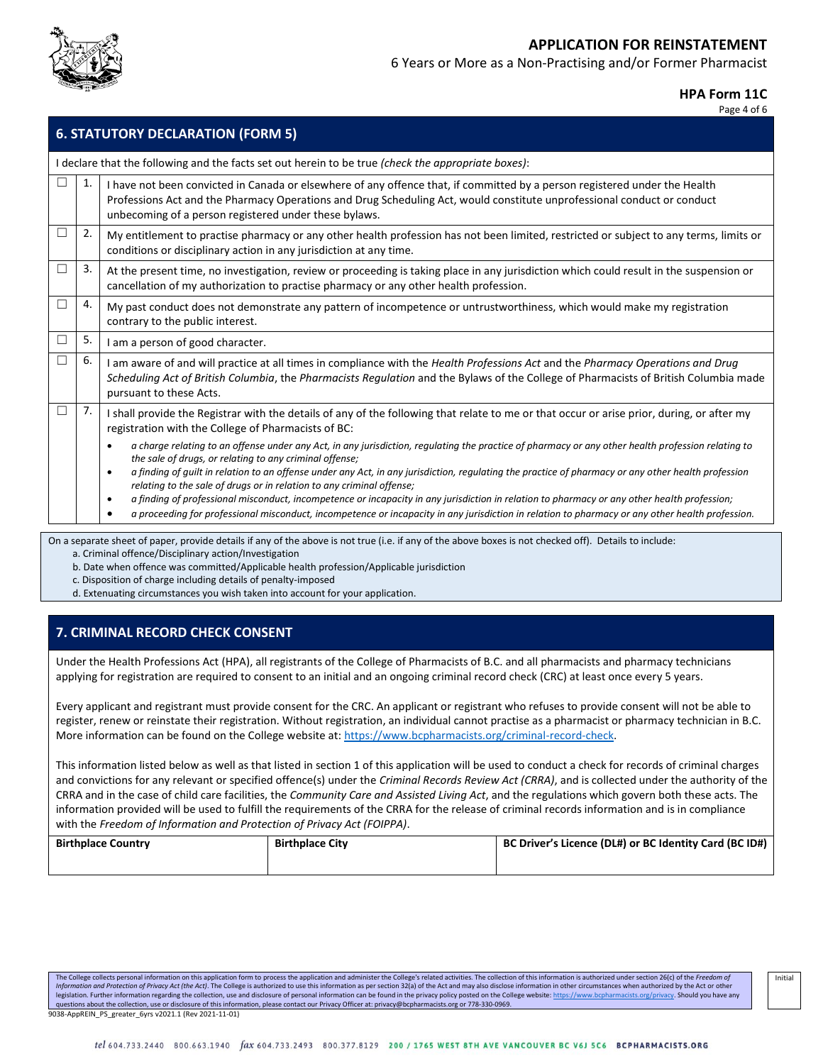

6 Years or More as a Non-Practising and/or Former Pharmacist

#### **HPA Form 11C**

Page 4 of 6

|   | <b>6. STATUTORY DECLARATION (FORM 5)</b> |                                                                                                                                                                                                                                                                                                                                                                                                                                                                                                                                                                                                                                                                                                                                                                                       |  |  |  |
|---|------------------------------------------|---------------------------------------------------------------------------------------------------------------------------------------------------------------------------------------------------------------------------------------------------------------------------------------------------------------------------------------------------------------------------------------------------------------------------------------------------------------------------------------------------------------------------------------------------------------------------------------------------------------------------------------------------------------------------------------------------------------------------------------------------------------------------------------|--|--|--|
|   |                                          | I declare that the following and the facts set out herein to be true (check the appropriate boxes):                                                                                                                                                                                                                                                                                                                                                                                                                                                                                                                                                                                                                                                                                   |  |  |  |
|   | 1.                                       | I have not been convicted in Canada or elsewhere of any offence that, if committed by a person registered under the Health<br>Professions Act and the Pharmacy Operations and Drug Scheduling Act, would constitute unprofessional conduct or conduct<br>unbecoming of a person registered under these bylaws.                                                                                                                                                                                                                                                                                                                                                                                                                                                                        |  |  |  |
|   | 2.                                       | My entitlement to practise pharmacy or any other health profession has not been limited, restricted or subject to any terms, limits or<br>conditions or disciplinary action in any jurisdiction at any time.                                                                                                                                                                                                                                                                                                                                                                                                                                                                                                                                                                          |  |  |  |
|   | 3.                                       | At the present time, no investigation, review or proceeding is taking place in any jurisdiction which could result in the suspension or<br>cancellation of my authorization to practise pharmacy or any other health profession.                                                                                                                                                                                                                                                                                                                                                                                                                                                                                                                                                      |  |  |  |
|   | 4.                                       | My past conduct does not demonstrate any pattern of incompetence or untrustworthiness, which would make my registration<br>contrary to the public interest.                                                                                                                                                                                                                                                                                                                                                                                                                                                                                                                                                                                                                           |  |  |  |
|   | 5.                                       | I am a person of good character.                                                                                                                                                                                                                                                                                                                                                                                                                                                                                                                                                                                                                                                                                                                                                      |  |  |  |
| □ | 6.                                       | I am aware of and will practice at all times in compliance with the Health Professions Act and the Pharmacy Operations and Drug<br>Scheduling Act of British Columbia, the Pharmacists Regulation and the Bylaws of the College of Pharmacists of British Columbia made<br>pursuant to these Acts.                                                                                                                                                                                                                                                                                                                                                                                                                                                                                    |  |  |  |
|   | 7.                                       | I shall provide the Registrar with the details of any of the following that relate to me or that occur or arise prior, during, or after my<br>registration with the College of Pharmacists of BC:                                                                                                                                                                                                                                                                                                                                                                                                                                                                                                                                                                                     |  |  |  |
|   |                                          | a charge relating to an offense under any Act, in any jurisdiction, regulating the practice of pharmacy or any other health profession relating to<br>$\bullet$<br>the sale of drugs, or relating to any criminal offense;<br>a finding of guilt in relation to an offense under any Act, in any jurisdiction, regulating the practice of pharmacy or any other health profession<br>$\bullet$<br>relating to the sale of drugs or in relation to any criminal offense;<br>a finding of professional misconduct, incompetence or incapacity in any jurisdiction in relation to pharmacy or any other health profession;<br>٠<br>a proceeding for professional misconduct, incompetence or incapacity in any jurisdiction in relation to pharmacy or any other health profession.<br>٠ |  |  |  |

On a separate sheet of paper, provide details if any of the above is not true (i.e. if any of the above boxes is not checked off). Details to include: a. Criminal offence/Disciplinary action/Investigation

b. Date when offence was committed/Applicable health profession/Applicable jurisdiction

c. Disposition of charge including details of penalty-imposed

d. Extenuating circumstances you wish taken into account for your application.

### **7. CRIMINAL RECORD CHECK CONSENT**

Under the Health Professions Act (HPA), all registrants of the College of Pharmacists of B.C. and all pharmacists and pharmacy technicians applying for registration are required to consent to an initial and an ongoing criminal record check (CRC) at least once every 5 years.

Every applicant and registrant must provide consent for the CRC. An applicant or registrant who refuses to provide consent will not be able to register, renew or reinstate their registration. Without registration, an individual cannot practise as a pharmacist or pharmacy technician in B.C. More information can be found on the College website at[: https://www.bcpharmacists.org/criminal-record-check.](https://www.bcpharmacists.org/criminal-record-check)

This information listed below as well as that listed in section 1 of this application will be used to conduct a check for records of criminal charges and convictions for any relevant or specified offence(s) under the *Criminal Records Review Act (CRRA)*, and is collected under the authority of the CRRA and in the case of child care facilities, the *Community Care and Assisted Living Act*, and the regulations which govern both these acts. The information provided will be used to fulfill the requirements of the CRRA for the release of criminal records information and is in compliance with the *Freedom of Information and Protection of Privacy Act (FOIPPA)*.

| <b>Birthplace Country</b> | <b>Birthplace City</b> | BC Driver's Licence (DL#) or BC Identity Card (BC ID#) |
|---------------------------|------------------------|--------------------------------------------------------|
|                           |                        |                                                        |

The College collects personal information on this application form to process the application and administer the College's related activities. The collection of this information is authorized under section 26(c) of the Fre Information and Protection of Privacy Act (the Act). The College is authorized to use this information as per section 32(a) of the Act and may also disclose information in other circumstances when authorized by the Act or legislation. Further information regarding the collection, use and disclosure of personal information can be found in the privacy policy posted on the College websit[e: https://www.bcpharmacists.org/privacy.](https://www.bcpharmacists.org/privacy) Should you have questions about the collection, use or disclosure of this information, please contact our Privacy Officer at: privacy@bcpharmacists.org or 778-330-0969. 9038-AppREIN\_PS\_greater\_6yrs v2021.1 (Rev 2021-11-01)

Initial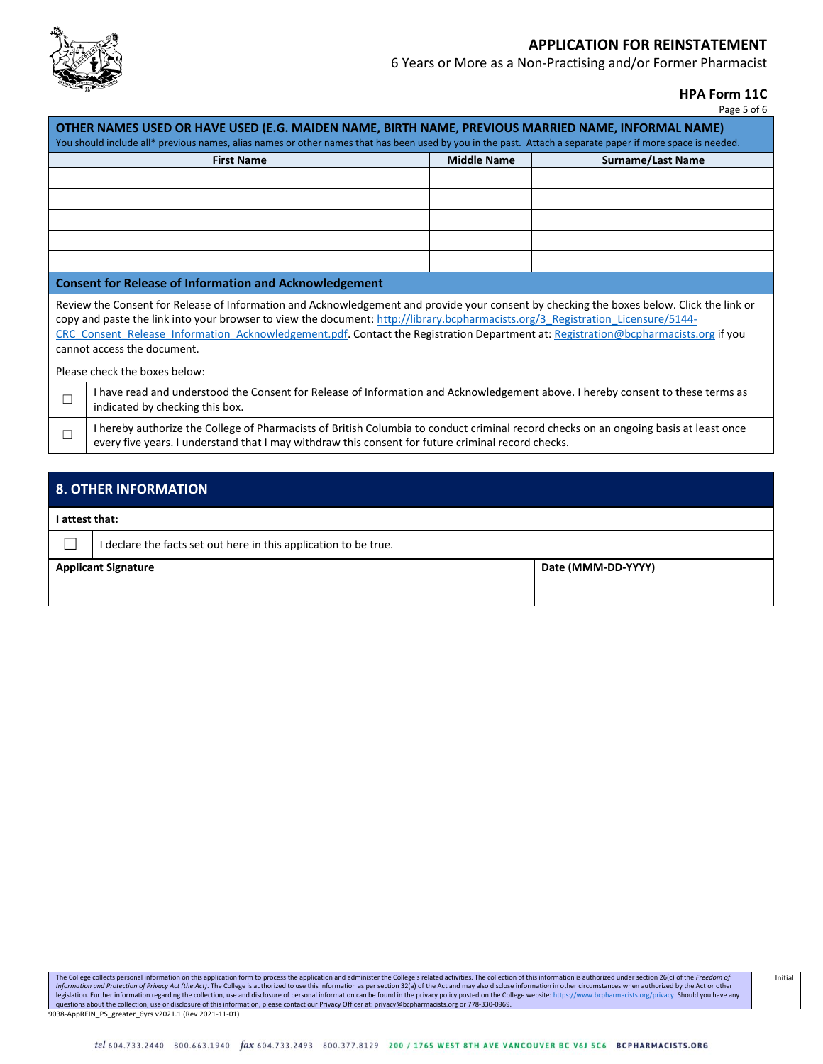

6 Years or More as a Non-Practising and/or Former Pharmacist

**HPA Form 11C**

| rage<br>. OT |  |
|--------------|--|
|--------------|--|

| OTHER NAMES USED OR HAVE USED (E.G. MAIDEN NAME, BIRTH NAME, PREVIOUS MARRIED NAME, INFORMAL NAME)<br>You should include all* previous names, alias names or other names that has been used by you in the past. Attach a separate paper if more space is needed.                                                                                                                                                                                                                   |                                                                                                                                                                                                                                             |                    |                          |  |
|------------------------------------------------------------------------------------------------------------------------------------------------------------------------------------------------------------------------------------------------------------------------------------------------------------------------------------------------------------------------------------------------------------------------------------------------------------------------------------|---------------------------------------------------------------------------------------------------------------------------------------------------------------------------------------------------------------------------------------------|--------------------|--------------------------|--|
|                                                                                                                                                                                                                                                                                                                                                                                                                                                                                    | <b>First Name</b>                                                                                                                                                                                                                           | <b>Middle Name</b> | <b>Surname/Last Name</b> |  |
|                                                                                                                                                                                                                                                                                                                                                                                                                                                                                    |                                                                                                                                                                                                                                             |                    |                          |  |
|                                                                                                                                                                                                                                                                                                                                                                                                                                                                                    |                                                                                                                                                                                                                                             |                    |                          |  |
|                                                                                                                                                                                                                                                                                                                                                                                                                                                                                    |                                                                                                                                                                                                                                             |                    |                          |  |
|                                                                                                                                                                                                                                                                                                                                                                                                                                                                                    |                                                                                                                                                                                                                                             |                    |                          |  |
|                                                                                                                                                                                                                                                                                                                                                                                                                                                                                    |                                                                                                                                                                                                                                             |                    |                          |  |
|                                                                                                                                                                                                                                                                                                                                                                                                                                                                                    | <b>Consent for Release of Information and Acknowledgement</b>                                                                                                                                                                               |                    |                          |  |
| Review the Consent for Release of Information and Acknowledgement and provide your consent by checking the boxes below. Click the link or<br>copy and paste the link into your browser to view the document: http://library.bcpharmacists.org/3 Registration Licensure/5144-<br>CRC Consent Release Information Acknowledgement.pdf. Contact the Registration Department at: Registration@bcpharmacists.org if you<br>cannot access the document.<br>Please check the boxes below: |                                                                                                                                                                                                                                             |                    |                          |  |
| $\Box$                                                                                                                                                                                                                                                                                                                                                                                                                                                                             | I have read and understood the Consent for Release of Information and Acknowledgement above. I hereby consent to these terms as<br>indicated by checking this box.                                                                          |                    |                          |  |
| $\Box$                                                                                                                                                                                                                                                                                                                                                                                                                                                                             | I hereby authorize the College of Pharmacists of British Columbia to conduct criminal record checks on an ongoing basis at least once<br>every five years. I understand that I may withdraw this consent for future criminal record checks. |                    |                          |  |
|                                                                                                                                                                                                                                                                                                                                                                                                                                                                                    |                                                                                                                                                                                                                                             |                    |                          |  |
| <b>8. OTHER INFORMATION</b>                                                                                                                                                                                                                                                                                                                                                                                                                                                        |                                                                                                                                                                                                                                             |                    |                          |  |
|                                                                                                                                                                                                                                                                                                                                                                                                                                                                                    | I attest that:                                                                                                                                                                                                                              |                    |                          |  |
|                                                                                                                                                                                                                                                                                                                                                                                                                                                                                    |                                                                                                                                                                                                                                             |                    |                          |  |

| I declare the facts set out here in this application to be true. |                    |
|------------------------------------------------------------------|--------------------|
| <b>Applicant Signature</b>                                       | Date (MMM-DD-YYYY) |

The College collects personal information on this application form to process the application and administer the College's related activities. The collection of this information is authorized under section 26(c) of the *Fr* 9038-AppREIN\_PS\_greater\_6yrs v2021.1 (Rev 2021-11-01)